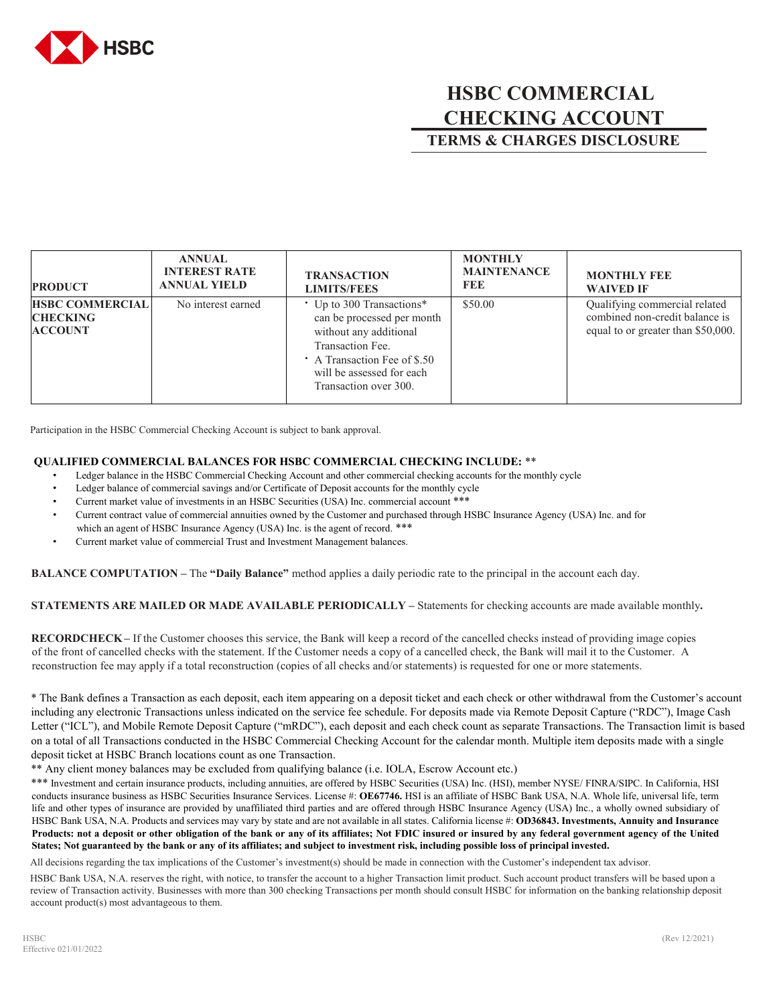

## **HSBC COMMERCIAL CHECKING ACCOUNT TERMS & CHARGES DISCLOSURE**

| <b>PRODUCT</b>                                              | <b>ANNUAL</b><br><b>INTEREST RATE</b><br><b>ANNUAL YIELD</b> | <b>TRANSACTION</b><br><b>LIMITS/FEES</b>                                                                                                                                                  | <b>MONTHLY</b><br><b>MAINTENANCE</b><br><b>FEE</b> | <b>MONTHLY FEE</b><br><b>WAIVED IF</b>                                                                |
|-------------------------------------------------------------|--------------------------------------------------------------|-------------------------------------------------------------------------------------------------------------------------------------------------------------------------------------------|----------------------------------------------------|-------------------------------------------------------------------------------------------------------|
| <b>HSBC COMMERCIAL</b><br><b>CHECKING</b><br><b>ACCOUNT</b> | No interest earned                                           | • Up to 300 Transactions*<br>can be processed per month<br>without any additional<br>Transaction Fee.<br>A Transaction Fee of \$.50<br>will be assessed for each<br>Transaction over 300. | \$50.00                                            | Qualifying commercial related<br>combined non-credit balance is<br>equal to or greater than \$50,000. |

Participation in the HSBC Commercial Checking Account is subject to bank approval.

## **QUALIFIED COMMERCIAL BALANCES FOR HSBC COMMERCIAL CHECKING INCLUDE:** \*\*

- Ledger balance in the HSBC Commercial Checking Account and other commercial checking accounts for the monthly cycle
- Ledger balance of commercial savings and/or Certificate of Deposit accounts for the monthly cycle
- Current market value of investments in an HSBC Securities (USA) Inc. commercial account \*\*\*
- Current contract value of commercial annuities owned by the Customer and purchased through HSBC Insurance Agency (USA) Inc. and for
- which an agent of HSBC Insurance Agency (USA) Inc. is the agent of record. \*\*\*
- Current market value of commercial Trust and Investment Management balances.

**BALANCE COMPUTATION –** The **"Daily Balance"** method applies a daily periodic rate to the principal in the account each day.

**STATEMENTS ARE MAILED OR MADE AVAILABLE PERIODICALLY –** Statements for checking accounts are made available monthly**.**

**RECORDCHECK–** If the Customer chooses this service, the Bank will keep a record of the cancelled checks instead of providing image copies of the front of cancelled checks with the statement. If the Customer needs a copy of a cancelled check, the Bank will mail it to the Customer. A reconstruction fee may apply if a total reconstruction (copies of all checks and/or statements) is requested for one or more statements.

\* The Bank defines a Transaction as each deposit, each item appearing on a deposit ticket and each check or other withdrawal from the Customer's account including any electronic Transactions unless indicated on the service fee schedule. For deposits made via Remote Deposit Capture ("RDC"), Image Cash Letter ("ICL"), and Mobile Remote Deposit Capture ("mRDC"), each deposit and each check count as separate Transactions. The Transaction limit is based on a total of all Transactions conducted in the HSBC Commercial Checking Account for the calendar month. Multiple item deposits made with a single deposit ticket at HSBC Branch locations count as one Transaction.

\*\* Any client money balances may be excluded from qualifying balance (i.e. IOLA, Escrow Account etc.)

\*\*\* Investment and certain insurance products, including annuities, are offered by HSBC Securities (USA) Inc. (HSI), member NYSE/ FINRA/SIPC. In California, HSI conducts insurance business as HSBC Securities Insurance Services. License #: OE67746. HSI is an affiliate of HSBC Bank USA, N.A. Whole life, universal life, term life and other types of insurance are provided by unaffiliated third parties and are offered through HSBC Insurance Agency (USA) Inc., a wholly owned subsidiary of HSBC Bank USA, N.A. Products and services may vary by state and are not available in all states. California license #: **OD36843. Investments, Annuity and Insurance Products: not a deposit or other obligation of the bank or any of its affiliates; Not FDIC insured or insured by any federal government agency of the United States; Not guaranteed by the bank or any of its affiliates; and subject to investment risk, including possible loss of principal invested.**

All decisions regarding the tax implications of the Customer's investment(s) should be made in connection with the Customer's independent tax advisor.

HSBC Bank USA, N.A. reserves the right, with notice, to transfer the account to a higher Transaction limit product. Such account product transfers will be based upon a review of Transaction activity. Businesses with more than 300 checking Transactions per month should consult HSBC for information on the banking relationship deposit account product(s) most advantageous to them.